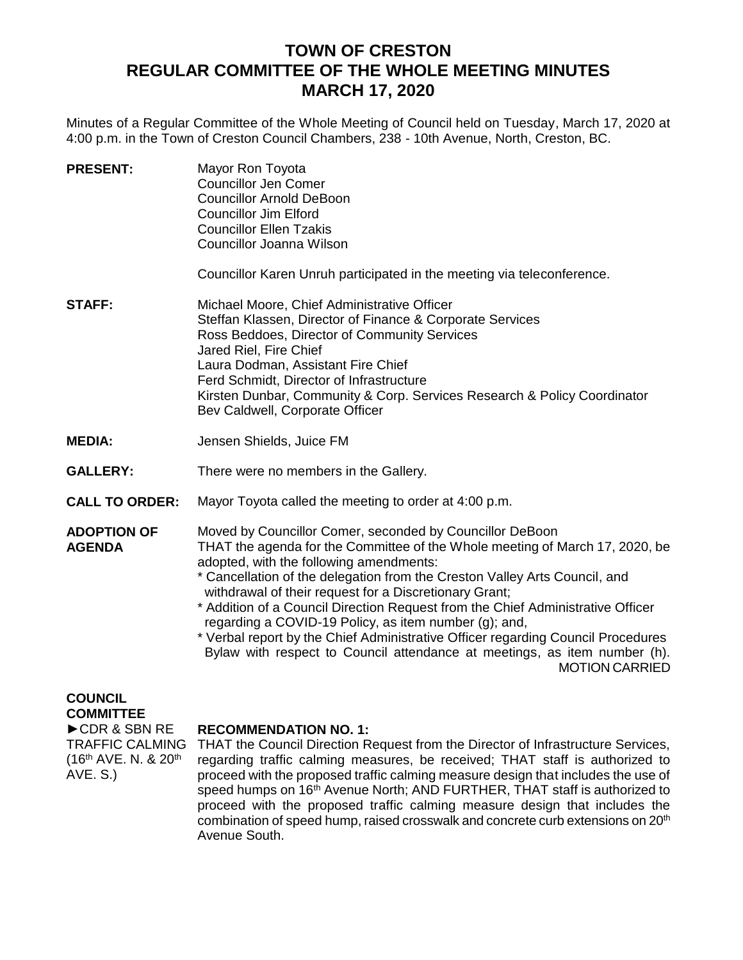# **TOWN OF CRESTON REGULAR COMMITTEE OF THE WHOLE MEETING MINUTES MARCH 17, 2020**

Minutes of a Regular Committee of the Whole Meeting of Council held on Tuesday, March 17, 2020 at 4:00 p.m. in the Town of Creston Council Chambers, 238 - 10th Avenue, North, Creston, BC.

| <b>PRESENT:</b>                                                              | Mayor Ron Toyota<br><b>Councillor Jen Comer</b><br><b>Councillor Arnold DeBoon</b><br><b>Councillor Jim Elford</b><br><b>Councillor Ellen Tzakis</b><br>Councillor Joanna Wilson                                                                                                                                                                                                                                                                                                                                                                                                                                                                                  |
|------------------------------------------------------------------------------|-------------------------------------------------------------------------------------------------------------------------------------------------------------------------------------------------------------------------------------------------------------------------------------------------------------------------------------------------------------------------------------------------------------------------------------------------------------------------------------------------------------------------------------------------------------------------------------------------------------------------------------------------------------------|
|                                                                              | Councillor Karen Unruh participated in the meeting via teleconference.                                                                                                                                                                                                                                                                                                                                                                                                                                                                                                                                                                                            |
| <b>STAFF:</b>                                                                | Michael Moore, Chief Administrative Officer<br>Steffan Klassen, Director of Finance & Corporate Services<br>Ross Beddoes, Director of Community Services<br>Jared Riel, Fire Chief<br>Laura Dodman, Assistant Fire Chief<br>Ferd Schmidt, Director of Infrastructure<br>Kirsten Dunbar, Community & Corp. Services Research & Policy Coordinator<br>Bev Caldwell, Corporate Officer                                                                                                                                                                                                                                                                               |
| <b>MEDIA:</b>                                                                | Jensen Shields, Juice FM                                                                                                                                                                                                                                                                                                                                                                                                                                                                                                                                                                                                                                          |
| <b>GALLERY:</b>                                                              | There were no members in the Gallery.                                                                                                                                                                                                                                                                                                                                                                                                                                                                                                                                                                                                                             |
| <b>CALL TO ORDER:</b>                                                        | Mayor Toyota called the meeting to order at 4:00 p.m.                                                                                                                                                                                                                                                                                                                                                                                                                                                                                                                                                                                                             |
| <b>ADOPTION OF</b><br><b>AGENDA</b>                                          | Moved by Councillor Comer, seconded by Councillor DeBoon<br>THAT the agenda for the Committee of the Whole meeting of March 17, 2020, be<br>adopted, with the following amendments:<br>* Cancellation of the delegation from the Creston Valley Arts Council, and<br>withdrawal of their request for a Discretionary Grant;<br>* Addition of a Council Direction Request from the Chief Administrative Officer<br>regarding a COVID-19 Policy, as item number (g); and,<br>* Verbal report by the Chief Administrative Officer regarding Council Procedures<br>Bylaw with respect to Council attendance at meetings, as item number (h).<br><b>MOTION CARRIED</b> |
| <b>COUNCIL</b><br><b>COMMITTEE</b><br>CDR & SBN RE<br><b>TRAFFIC CALMING</b> | <b>RECOMMENDATION NO. 1:</b><br>THAT the Council Direction Request from the Director of Infrastructure Services.                                                                                                                                                                                                                                                                                                                                                                                                                                                                                                                                                  |

(16th AVE. N. & 20th THAT the Council Direction Request from the Director of Infrastructure Services, regarding traffic calming measures, be received; THAT staff is authorized to proceed with the proposed traffic calming measure design that includes the use of speed humps on 16<sup>th</sup> Avenue North; AND FURTHER, THAT staff is authorized to proceed with the proposed traffic calming measure design that includes the combination of speed hump, raised crosswalk and concrete curb extensions on 20<sup>th</sup> Avenue South.

AVE. S.)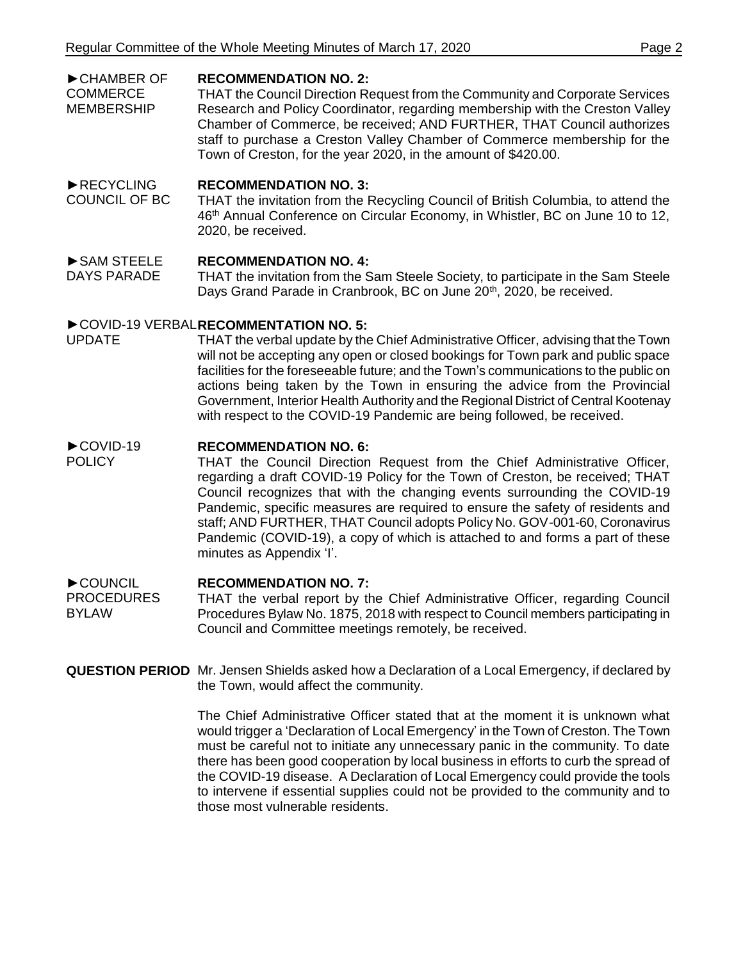#### ►CHAMBER OF **RECOMMENDATION NO. 2:**

**COMMERCE** MEMBERSHIP THAT the Council Direction Request from the Community and Corporate Services Research and Policy Coordinator, regarding membership with the Creston Valley Chamber of Commerce, be received; AND FURTHER, THAT Council authorizes staff to purchase a Creston Valley Chamber of Commerce membership for the Town of Creston, for the year 2020, in the amount of \$420.00.

#### ►RECYCLING **RECOMMENDATION NO. 3:**

COUNCIL OF BC THAT the invitation from the Recycling Council of British Columbia, to attend the 46<sup>th</sup> Annual Conference on Circular Economy, in Whistler, BC on June 10 to 12, 2020, be received.

## ►SAM STEELE **RECOMMENDATION NO. 4:**

DAYS PARADE THAT the invitation from the Sam Steele Society, to participate in the Sam Steele Days Grand Parade in Cranbrook, BC on June 20<sup>th</sup>, 2020, be received.

# ► COVID-19 VERBAL RECOMMENTATION NO. 5:

UPDATE THAT the verbal update by the Chief Administrative Officer, advising that the Town will not be accepting any open or closed bookings for Town park and public space facilities for the foreseeable future; and the Town's communications to the public on actions being taken by the Town in ensuring the advice from the Provincial Government, Interior Health Authority and the Regional District of Central Kootenay with respect to the COVID-19 Pandemic are being followed, be received.

## ►COVID-19 **RECOMMENDATION NO. 6:**

POLICY THAT the Council Direction Request from the Chief Administrative Officer, regarding a draft COVID-19 Policy for the Town of Creston, be received; THAT Council recognizes that with the changing events surrounding the COVID-19 Pandemic, specific measures are required to ensure the safety of residents and staff; AND FURTHER, THAT Council adopts Policy No. GOV-001-60, Coronavirus Pandemic (COVID-19), a copy of which is attached to and forms a part of these minutes as Appendix 'I'.

## ►COUNCIL **RECOMMENDATION NO. 7:**

- PROCEDURES **BYLAW** THAT the verbal report by the Chief Administrative Officer, regarding Council Procedures Bylaw No. 1875, 2018 with respect to Council members participating in Council and Committee meetings remotely, be received.
- **QUESTION PERIOD** Mr. Jensen Shields asked how a Declaration of a Local Emergency, if declared by the Town, would affect the community.

The Chief Administrative Officer stated that at the moment it is unknown what would trigger a 'Declaration of Local Emergency' in the Town of Creston. The Town must be careful not to initiate any unnecessary panic in the community. To date there has been good cooperation by local business in efforts to curb the spread of the COVID-19 disease. A Declaration of Local Emergency could provide the tools to intervene if essential supplies could not be provided to the community and to those most vulnerable residents.